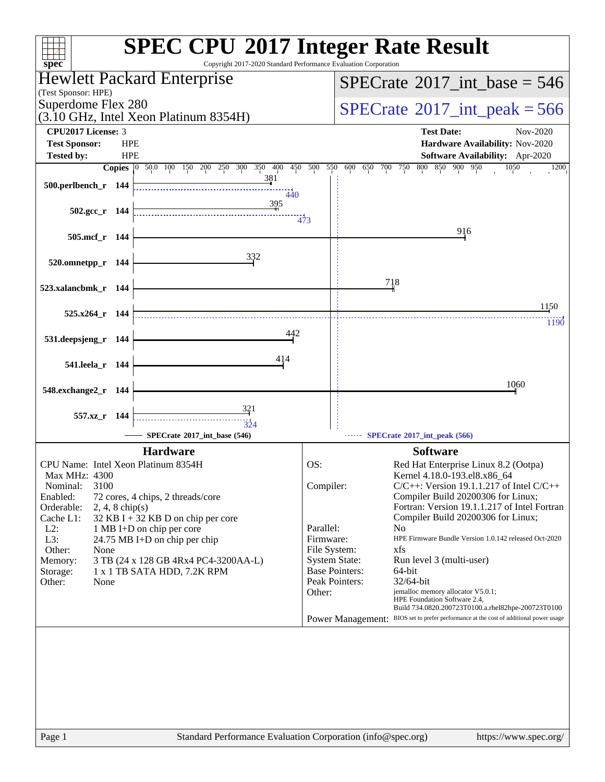| spec <sup>®</sup>                                                                | <b>SPEC CPU®2017 Integer Rate Result</b><br>Copyright 2017-2020 Standard Performance Evaluation Corporation |
|----------------------------------------------------------------------------------|-------------------------------------------------------------------------------------------------------------|
| Hewlett Packard Enterprise                                                       | $SPECrate^{\circ}2017\_int\_base = 546$                                                                     |
| (Test Sponsor: HPE)<br>Superdome Flex 280                                        |                                                                                                             |
| (3.10 GHz, Intel Xeon Platinum 8354H)                                            | $SPECrate^{\circ}2017\_int\_peak = 566$                                                                     |
| <b>CPU2017 License: 3</b><br><b>Test Sponsor:</b><br><b>HPE</b>                  | <b>Test Date:</b><br>Nov-2020<br>Hardware Availability: Nov-2020                                            |
| <b>Tested by:</b><br><b>HPE</b>                                                  | <b>Software Availability:</b> Apr-2020                                                                      |
| Copies 0 50.0 100 150 200 250 300<br>350 400<br>450                              | 550<br>500<br>600<br>650 700 750<br>800 850 900 950<br>1050<br>1200                                         |
| 381<br>500.perlbench_r 144<br>440                                                |                                                                                                             |
| 395<br>$502.\text{gcc}_r$ 144                                                    |                                                                                                             |
|                                                                                  | $\frac{11}{473}$                                                                                            |
| 505.mcf_r 144                                                                    | 916                                                                                                         |
| 332<br>520.omnetpp_r 144                                                         |                                                                                                             |
|                                                                                  | 718                                                                                                         |
| 523.xalancbmk_r 144                                                              |                                                                                                             |
| $525.x264$ r 144                                                                 | 1150                                                                                                        |
|                                                                                  | 1190                                                                                                        |
| 531.deepsjeng_r 144                                                              |                                                                                                             |
| 414<br>541.leela_r 144                                                           |                                                                                                             |
|                                                                                  | 1060                                                                                                        |
| 548.exchange2_r 144                                                              |                                                                                                             |
| 321<br>557.xz_r 144<br>$\frac{1}{324}$                                           |                                                                                                             |
| SPECrate®2017 int base (546)                                                     | SPECrate*2017_int_peak (566)                                                                                |
| <b>Hardware</b>                                                                  | <b>Software</b>                                                                                             |
| CPU Name: Intel Xeon Platinum 8354H                                              | OS:<br>Red Hat Enterprise Linux 8.2 (Ootpa)                                                                 |
| Max MHz: 4300<br>3100<br>Nominal:                                                | Kernel 4.18.0-193.el8.x86_64<br>$C/C++$ : Version 19.1.1.217 of Intel $C/C++$<br>Compiler:                  |
| Enabled:<br>72 cores, 4 chips, 2 threads/core<br>Orderable:<br>$2, 4, 8$ chip(s) | Compiler Build 20200306 for Linux;<br>Fortran: Version 19.1.1.217 of Intel Fortran                          |
| Cache L1:<br>$32$ KB I + 32 KB D on chip per core                                | Compiler Build 20200306 for Linux;                                                                          |
| $L2$ :<br>1 MB I+D on chip per core                                              | Parallel:<br>N <sub>0</sub><br>HPE Firmware Bundle Version 1.0.142 released Oct-2020<br>Firmware:           |
| L3:<br>24.75 MB I+D on chip per chip<br>Other:<br>None                           | File System:<br>xfs                                                                                         |
| 3 TB (24 x 128 GB 4Rx4 PC4-3200AA-L)<br>Memory:                                  | <b>System State:</b><br>Run level 3 (multi-user)                                                            |
| Storage:<br>1 x 1 TB SATA HDD, 7.2K RPM                                          | <b>Base Pointers:</b><br>64-bit                                                                             |
| Other:<br>None                                                                   | Peak Pointers:<br>32/64-bit<br>Other:<br>jemalloc memory allocator V5.0.1;                                  |
|                                                                                  | HPE Foundation Software 2.4,<br>Build 734.0820.200723T0100.a.rhel82hpe-200723T0100                          |
|                                                                                  | Power Management: BIOS set to prefer performance at the cost of additional power usage                      |
|                                                                                  |                                                                                                             |
|                                                                                  |                                                                                                             |
|                                                                                  |                                                                                                             |
|                                                                                  |                                                                                                             |
|                                                                                  |                                                                                                             |
|                                                                                  |                                                                                                             |
| Page 1                                                                           | Standard Performance Evaluation Corporation (info@spec.org)<br>https://www.spec.org/                        |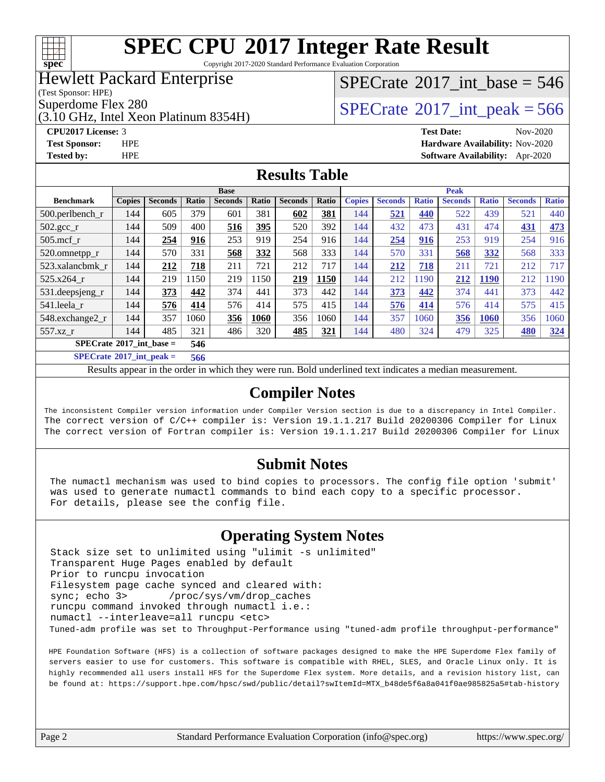

Copyright 2017-2020 Standard Performance Evaluation Corporation

### Hewlett Packard Enterprise

(Test Sponsor: HPE)

Superdome Flex 280<br>  $\begin{array}{|c|c|c|c|}\n\hline\n\text{Superdone} & \text{Hex 280} \\
\hline\n\text{Year} & \text{Data} & \text{Year} & \text{Data} \\
\hline\n\end{array}$ 

(3.10 GHz, Intel Xeon Platinum 8354H)

**[CPU2017 License:](http://www.spec.org/auto/cpu2017/Docs/result-fields.html#CPU2017License)** 3 **[Test Date:](http://www.spec.org/auto/cpu2017/Docs/result-fields.html#TestDate)** Nov-2020 **[Test Sponsor:](http://www.spec.org/auto/cpu2017/Docs/result-fields.html#TestSponsor)** HPE **[Hardware Availability:](http://www.spec.org/auto/cpu2017/Docs/result-fields.html#HardwareAvailability)** Nov-2020

 $SPECTate$ <sup>®</sup>[2017\\_int\\_base =](http://www.spec.org/auto/cpu2017/Docs/result-fields.html#SPECrate2017intbase) 546

# **[Tested by:](http://www.spec.org/auto/cpu2017/Docs/result-fields.html#Testedby)** HPE **[Software Availability:](http://www.spec.org/auto/cpu2017/Docs/result-fields.html#SoftwareAvailability)** Apr-2020

#### **[Results Table](http://www.spec.org/auto/cpu2017/Docs/result-fields.html#ResultsTable)**

| <b>Base</b>                       |               |                |       |                |       | <b>Peak</b>    |            |               |                |              |                |              |                |              |
|-----------------------------------|---------------|----------------|-------|----------------|-------|----------------|------------|---------------|----------------|--------------|----------------|--------------|----------------|--------------|
| <b>Benchmark</b>                  | <b>Copies</b> | <b>Seconds</b> | Ratio | <b>Seconds</b> | Ratio | <b>Seconds</b> | Ratio      | <b>Copies</b> | <b>Seconds</b> | <b>Ratio</b> | <b>Seconds</b> | <b>Ratio</b> | <b>Seconds</b> | <b>Ratio</b> |
| $500.$ perlbench_r                | 144           | 605            | 379   | 601            | 381   | 602            | 381        | 144           | 521            | 440          | 522            | 439          | 521            | 440          |
| $502.\text{gcc}$ _r               | 144           | 509            | 400   | 516            | 395   | 520            | 392        | 144           | 432            | 473          | 431            | 474          | 431            | 473          |
| $505$ .mcf r                      | 144           | 254            | 916   | 253            | 919   | 254            | 916        | 144           | 254            | 916          | 253            | 919          | 254            | 916          |
| 520.omnetpp_r                     | 144           | 570            | 331   | 568            | 332   | 568            | 333        | 144           | 570            | 331          | 568            | 332          | 568            | 333          |
| 523.xalancbmk r                   | 144           | 212            | 718   | 211            | 721   | 212            | 717        | 144           | 212            | 718          | 211            | 721          | 212            | 717          |
| $525.x264$ r                      | 144           | 219            | 150   | 219            | 1150  | 219            | 1150       | 144           | 212            | 1190         | 212            | <b>1190</b>  | 212            | 1190         |
| 531.deepsjeng_r                   | 144           | 373            | 442   | 374            | 441   | 373            | 442        | 144           | 373            | 442          | 374            | 441          | 373            | 442          |
| 541.leela r                       | 144           | 576            | 414   | 576            | 414   | 575            | 415        | 144           | 576            | 414          | 576            | 414          | 575            | 415          |
| 548.exchange2_r                   | 144           | 357            | 1060  | 356            | 1060  | 356            | 1060       | 144           | 357            | 1060         | 356            | 1060         | 356            | 1060         |
| 557.xz                            | 144           | 485            | 321   | 486            | 320   | 485            | <u>321</u> | 144           | 480            | 324          | 479            | 325          | 480            | <u>324</u>   |
| $SPECrate^{\circ}2017$ int base = |               |                | 546   |                |       |                |            |               |                |              |                |              |                |              |
| $CDDLO \rightarrow AAAIB$         |               | . .            | ---   |                |       |                |            |               |                |              |                |              |                |              |

**[SPECrate](http://www.spec.org/auto/cpu2017/Docs/result-fields.html#SPECrate2017intpeak)[2017\\_int\\_peak =](http://www.spec.org/auto/cpu2017/Docs/result-fields.html#SPECrate2017intpeak) 566**

Results appear in the [order in which they were run](http://www.spec.org/auto/cpu2017/Docs/result-fields.html#RunOrder). Bold underlined text [indicates a median measurement](http://www.spec.org/auto/cpu2017/Docs/result-fields.html#Median).

#### **[Compiler Notes](http://www.spec.org/auto/cpu2017/Docs/result-fields.html#CompilerNotes)**

The inconsistent Compiler version information under Compiler Version section is due to a discrepancy in Intel Compiler. The correct version of C/C++ compiler is: Version 19.1.1.217 Build 20200306 Compiler for Linux The correct version of Fortran compiler is: Version 19.1.1.217 Build 20200306 Compiler for Linux

#### **[Submit Notes](http://www.spec.org/auto/cpu2017/Docs/result-fields.html#SubmitNotes)**

 The numactl mechanism was used to bind copies to processors. The config file option 'submit' was used to generate numactl commands to bind each copy to a specific processor. For details, please see the config file.

### **[Operating System Notes](http://www.spec.org/auto/cpu2017/Docs/result-fields.html#OperatingSystemNotes)**

 Stack size set to unlimited using "ulimit -s unlimited" Transparent Huge Pages enabled by default Prior to runcpu invocation Filesystem page cache synced and cleared with: sync; echo 3> /proc/sys/vm/drop\_caches runcpu command invoked through numactl i.e.: numactl --interleave=all runcpu <etc> Tuned-adm profile was set to Throughput-Performance using "tuned-adm profile throughput-performance"

 HPE Foundation Software (HFS) is a collection of software packages designed to make the HPE Superdome Flex family of servers easier to use for customers. This software is compatible with RHEL, SLES, and Oracle Linux only. It is highly recommended all users install HFS for the Superdome Flex system. More details, and a revision history list, can be found at: [https://support.hpe.com/hpsc/swd/public/detail?swItemId=MTX\\_b48de5f6a8a041f0ae985825a5#tab-history](https://support.hpe.com/hpsc/swd/public/detail?swItemId=MTX_b48de5f6a8a041f0ae985825a5#tab-history)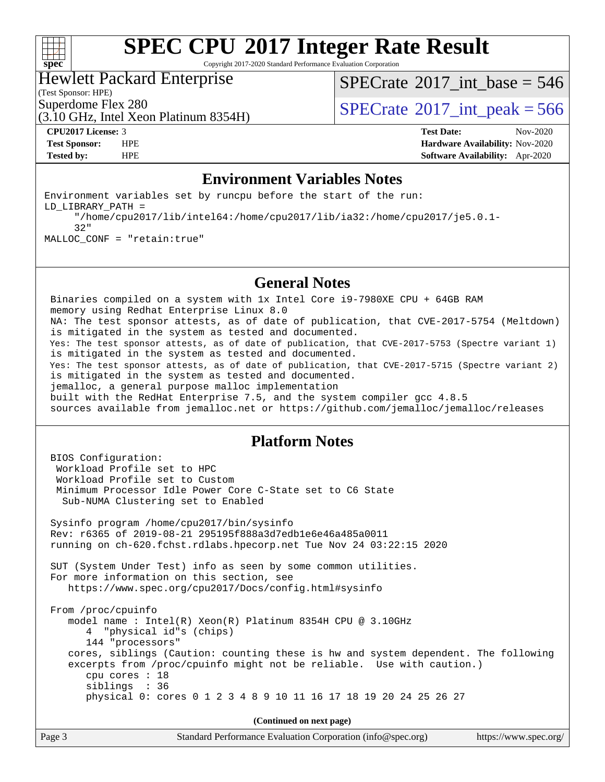

Copyright 2017-2020 Standard Performance Evaluation Corporation

#### Hewlett Packard Enterprise

(3.10 GHz, Intel Xeon Platinum 8354H)

 $SPECrate$ <sup>®</sup>[2017\\_int\\_base =](http://www.spec.org/auto/cpu2017/Docs/result-fields.html#SPECrate2017intbase) 546

(Test Sponsor: HPE)

Superdome Flex 280<br>  $\begin{array}{|l|l|}\n\hline\n\text{Superdone} & \text{Flex } 280 \\
\hline\n\text{10 GHz Total Year Data} & \text{Platium } 835.4 \text{ H}\n\end{array}$ 

**[CPU2017 License:](http://www.spec.org/auto/cpu2017/Docs/result-fields.html#CPU2017License)** 3 **[Test Date:](http://www.spec.org/auto/cpu2017/Docs/result-fields.html#TestDate)** Nov-2020 **[Test Sponsor:](http://www.spec.org/auto/cpu2017/Docs/result-fields.html#TestSponsor)** HPE **[Hardware Availability:](http://www.spec.org/auto/cpu2017/Docs/result-fields.html#HardwareAvailability)** Nov-2020 **[Tested by:](http://www.spec.org/auto/cpu2017/Docs/result-fields.html#Testedby)** HPE **[Software Availability:](http://www.spec.org/auto/cpu2017/Docs/result-fields.html#SoftwareAvailability)** Apr-2020

#### **[Environment Variables Notes](http://www.spec.org/auto/cpu2017/Docs/result-fields.html#EnvironmentVariablesNotes)**

Environment variables set by runcpu before the start of the run: LD\_LIBRARY\_PATH = "/home/cpu2017/lib/intel64:/home/cpu2017/lib/ia32:/home/cpu2017/je5.0.1- 32" MALLOC\_CONF = "retain:true"

#### **[General Notes](http://www.spec.org/auto/cpu2017/Docs/result-fields.html#GeneralNotes)**

 Binaries compiled on a system with 1x Intel Core i9-7980XE CPU + 64GB RAM memory using Redhat Enterprise Linux 8.0 NA: The test sponsor attests, as of date of publication, that CVE-2017-5754 (Meltdown) is mitigated in the system as tested and documented. Yes: The test sponsor attests, as of date of publication, that CVE-2017-5753 (Spectre variant 1) is mitigated in the system as tested and documented. Yes: The test sponsor attests, as of date of publication, that CVE-2017-5715 (Spectre variant 2) is mitigated in the system as tested and documented. jemalloc, a general purpose malloc implementation built with the RedHat Enterprise 7.5, and the system compiler gcc 4.8.5 sources available from jemalloc.net or<https://github.com/jemalloc/jemalloc/releases>

#### **[Platform Notes](http://www.spec.org/auto/cpu2017/Docs/result-fields.html#PlatformNotes)**

 BIOS Configuration: Workload Profile set to HPC Workload Profile set to Custom Minimum Processor Idle Power Core C-State set to C6 State Sub-NUMA Clustering set to Enabled Sysinfo program /home/cpu2017/bin/sysinfo Rev: r6365 of 2019-08-21 295195f888a3d7edb1e6e46a485a0011 running on ch-620.fchst.rdlabs.hpecorp.net Tue Nov 24 03:22:15 2020 SUT (System Under Test) info as seen by some common utilities. For more information on this section, see <https://www.spec.org/cpu2017/Docs/config.html#sysinfo> From /proc/cpuinfo model name : Intel(R) Xeon(R) Platinum 8354H CPU @ 3.10GHz 4 "physical id"s (chips) 144 "processors" cores, siblings (Caution: counting these is hw and system dependent. The following excerpts from /proc/cpuinfo might not be reliable. Use with caution.) cpu cores : 18 siblings : 36 physical 0: cores 0 1 2 3 4 8 9 10 11 16 17 18 19 20 24 25 26 27

**(Continued on next page)**

| Page 3 | Standard Performance Evaluation Corporation (info@spec.org) | https://www.spec.org/ |
|--------|-------------------------------------------------------------|-----------------------|
|--------|-------------------------------------------------------------|-----------------------|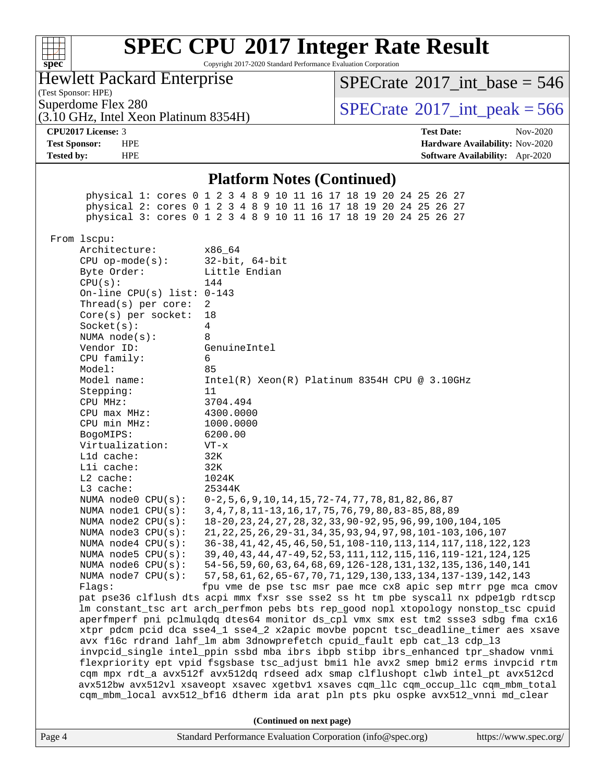| v.<br>c | L | E | L |  |
|---------|---|---|---|--|

Copyright 2017-2020 Standard Performance Evaluation Corporation

### Hewlett Packard Enterprise

(3.10 GHz, Intel Xeon Platinum 8354H)

(Test Sponsor: HPE)

 $SPECTate$ <sup>®</sup>[2017\\_int\\_base =](http://www.spec.org/auto/cpu2017/Docs/result-fields.html#SPECrate2017intbase) 546

Superdome Flex 280<br>  $\begin{array}{c}\n\text{SPECTate} \textcirc 2017\_int\_peak = 566 \\
\text{SPECTate} \textcirc 2017\_int\_peak = 566\n\end{array}$ 

**[CPU2017 License:](http://www.spec.org/auto/cpu2017/Docs/result-fields.html#CPU2017License)** 3 **[Test Date:](http://www.spec.org/auto/cpu2017/Docs/result-fields.html#TestDate)** Nov-2020 **[Test Sponsor:](http://www.spec.org/auto/cpu2017/Docs/result-fields.html#TestSponsor)** HPE **[Hardware Availability:](http://www.spec.org/auto/cpu2017/Docs/result-fields.html#HardwareAvailability)** Nov-2020 **[Tested by:](http://www.spec.org/auto/cpu2017/Docs/result-fields.html#Testedby)** HPE **[Software Availability:](http://www.spec.org/auto/cpu2017/Docs/result-fields.html#SoftwareAvailability)** Apr-2020

#### **[Platform Notes \(Continued\)](http://www.spec.org/auto/cpu2017/Docs/result-fields.html#PlatformNotes)**

 physical 1: cores 0 1 2 3 4 8 9 10 11 16 17 18 19 20 24 25 26 27 physical 2: cores 0 1 2 3 4 8 9 10 11 16 17 18 19 20 24 25 26 27 physical 3: cores 0 1 2 3 4 8 9 10 11 16 17 18 19 20 24 25 26 27 From lscpu: Architecture: x86\_64 CPU op-mode(s): 32-bit, 64-bit Byte Order: Little Endian CPU(s): 144 On-line CPU(s) list: 0-143 Thread(s) per core: 2 Core(s) per socket: 18 Socket(s): 4 NUMA node(s): 8 Vendor ID: GenuineIntel CPU family: 6 Model: 85 Model name: Intel(R) Xeon(R) Platinum 8354H CPU @ 3.10GHz Stepping: 11 CPU MHz: 3704.494 CPU max MHz: 4300.0000 CPU min MHz: 1000.0000 BogoMIPS: 6200.00 Virtualization: VT-x L1d cache: 32K L1i cache: 32K L2 cache: 1024K L3 cache: 25344K NUMA node0 CPU(s): 0-2,5,6,9,10,14,15,72-74,77,78,81,82,86,87 NUMA node1 CPU(s): 3,4,7,8,11-13,16,17,75,76,79,80,83-85,88,89 NUMA node2 CPU(s): 18-20,23,24,27,28,32,33,90-92,95,96,99,100,104,105 NUMA node3 CPU(s): 21,22,25,26,29-31,34,35,93,94,97,98,101-103,106,107 NUMA node4 CPU(s): 36-38,41,42,45,46,50,51,108-110,113,114,117,118,122,123 NUMA node5 CPU(s): 39,40,43,44,47-49,52,53,111,112,115,116,119-121,124,125 NUMA node6 CPU(s): 54-56,59,60,63,64,68,69,126-128,131,132,135,136,140,141 NUMA node7 CPU(s): 57,58,61,62,65-67,70,71,129,130,133,134,137-139,142,143 Flags: fpu vme de pse tsc msr pae mce cx8 apic sep mtrr pge mca cmov pat pse36 clflush dts acpi mmx fxsr sse sse2 ss ht tm pbe syscall nx pdpe1gb rdtscp lm constant\_tsc art arch\_perfmon pebs bts rep\_good nopl xtopology nonstop\_tsc cpuid aperfmperf pni pclmulqdq dtes64 monitor ds\_cpl vmx smx est tm2 ssse3 sdbg fma cx16 xtpr pdcm pcid dca sse4\_1 sse4\_2 x2apic movbe popcnt tsc\_deadline\_timer aes xsave avx f16c rdrand lahf\_lm abm 3dnowprefetch cpuid\_fault epb cat\_l3 cdp\_l3 invpcid\_single intel\_ppin ssbd mba ibrs ibpb stibp ibrs\_enhanced tpr\_shadow vnmi flexpriority ept vpid fsgsbase tsc\_adjust bmi1 hle avx2 smep bmi2 erms invpcid rtm cqm mpx rdt\_a avx512f avx512dq rdseed adx smap clflushopt clwb intel\_pt avx512cd avx512bw avx512vl xsaveopt xsavec xgetbv1 xsaves cqm\_llc cqm\_occup\_llc cqm\_mbm\_total cqm\_mbm\_local avx512\_bf16 dtherm ida arat pln pts pku ospke avx512\_vnni md\_clear **(Continued on next page)**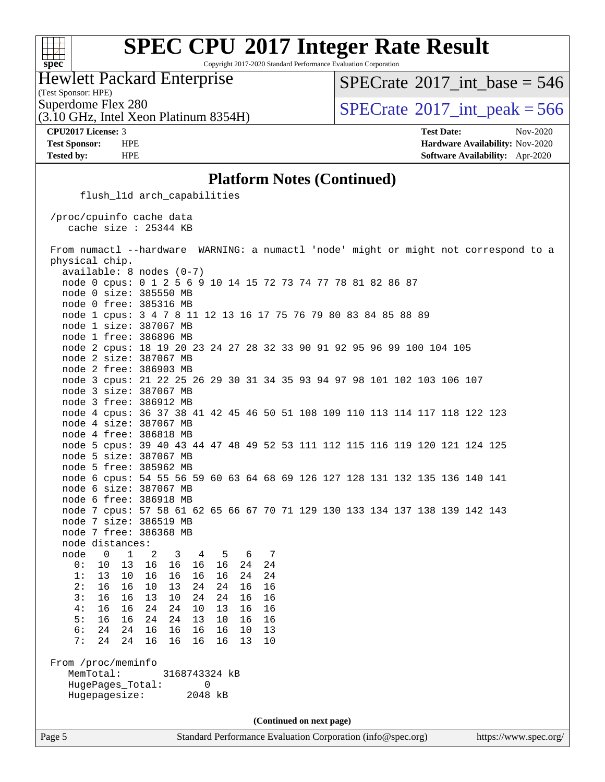

Copyright 2017-2020 Standard Performance Evaluation Corporation

Hewlett Packard Enterprise

 $SPECTate$ <sup>®</sup>[2017\\_int\\_base =](http://www.spec.org/auto/cpu2017/Docs/result-fields.html#SPECrate2017intbase) 546

(Test Sponsor: HPE)

(3.10 GHz, Intel Xeon Platinum 8354H)

Superdome Flex 280<br>  $\angle (3.10 \text{ GHz, Intel Yoon Plutium } 8354 \text{H})$   $\angle (3.10 \text{ GHz, Intel Yoon Plutium } 8354 \text{H})$ 

**[CPU2017 License:](http://www.spec.org/auto/cpu2017/Docs/result-fields.html#CPU2017License)** 3 **[Test Date:](http://www.spec.org/auto/cpu2017/Docs/result-fields.html#TestDate)** Nov-2020 **[Test Sponsor:](http://www.spec.org/auto/cpu2017/Docs/result-fields.html#TestSponsor)** HPE **[Hardware Availability:](http://www.spec.org/auto/cpu2017/Docs/result-fields.html#HardwareAvailability)** Nov-2020 **[Tested by:](http://www.spec.org/auto/cpu2017/Docs/result-fields.html#Testedby)** HPE **[Software Availability:](http://www.spec.org/auto/cpu2017/Docs/result-fields.html#SoftwareAvailability)** Apr-2020

#### **[Platform Notes \(Continued\)](http://www.spec.org/auto/cpu2017/Docs/result-fields.html#PlatformNotes)**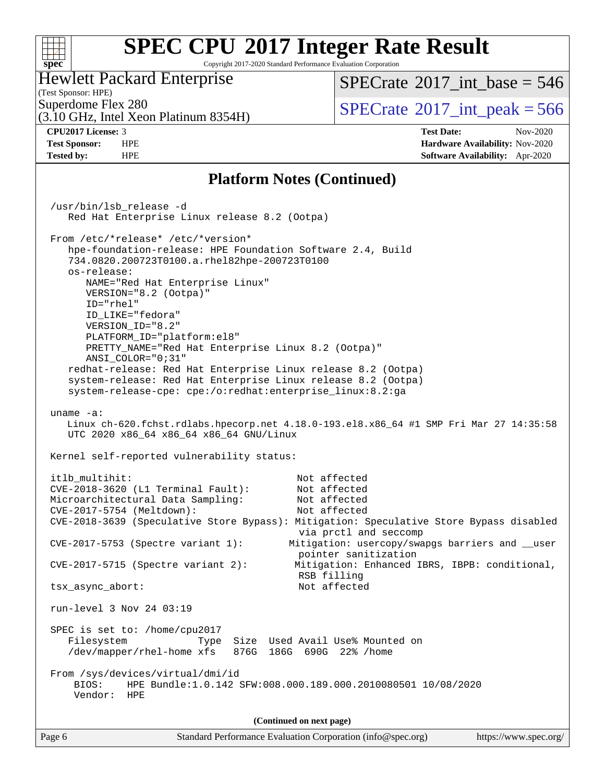#### **[SPEC CPU](http://www.spec.org/auto/cpu2017/Docs/result-fields.html#SPECCPU2017IntegerRateResult)[2017 Integer Rate Result](http://www.spec.org/auto/cpu2017/Docs/result-fields.html#SPECCPU2017IntegerRateResult)**  $+\!\!+\!\!$ **[spec](http://www.spec.org/)** Copyright 2017-2020 Standard Performance Evaluation Corporation Hewlett Packard Enterprise [SPECrate](http://www.spec.org/auto/cpu2017/Docs/result-fields.html#SPECrate2017intbase)<sup>®</sup>2017 int base = 546 (Test Sponsor: HPE) Superdome Flex 280<br>  $\begin{array}{c}\n\text{SPECTate} \textcirc 2017\_int\_peak = 566 \\
\text{SPECTate} \textcirc 2017\_int\_peak = 566\n\end{array}$ (3.10 GHz, Intel Xeon Platinum 8354H) **[CPU2017 License:](http://www.spec.org/auto/cpu2017/Docs/result-fields.html#CPU2017License)** 3 **[Test Date:](http://www.spec.org/auto/cpu2017/Docs/result-fields.html#TestDate)** Nov-2020 **[Test Sponsor:](http://www.spec.org/auto/cpu2017/Docs/result-fields.html#TestSponsor)** HPE **[Hardware Availability:](http://www.spec.org/auto/cpu2017/Docs/result-fields.html#HardwareAvailability)** Nov-2020 **[Tested by:](http://www.spec.org/auto/cpu2017/Docs/result-fields.html#Testedby)** HPE **[Software Availability:](http://www.spec.org/auto/cpu2017/Docs/result-fields.html#SoftwareAvailability)** Apr-2020 **[Platform Notes \(Continued\)](http://www.spec.org/auto/cpu2017/Docs/result-fields.html#PlatformNotes)** /usr/bin/lsb\_release -d Red Hat Enterprise Linux release 8.2 (Ootpa) From /etc/\*release\* /etc/\*version\* hpe-foundation-release: HPE Foundation Software 2.4, Build 734.0820.200723T0100.a.rhel82hpe-200723T0100 os-release: NAME="Red Hat Enterprise Linux" VERSION="8.2 (Ootpa)" ID="rhel"

UTC 2020 x86\_64 x86\_64 x86\_64 GNU/Linux

Kernel self-reported vulnerability status:

PLATFORM\_ID="platform:el8"

PRETTY\_NAME="Red Hat Enterprise Linux 8.2 (Ootpa)"

 redhat-release: Red Hat Enterprise Linux release 8.2 (Ootpa) system-release: Red Hat Enterprise Linux release 8.2 (Ootpa) system-release-cpe: cpe:/o:redhat:enterprise\_linux:8.2:ga

 ID\_LIKE="fedora" VERSION\_ID="8.2"

ANSI\_COLOR="0;31"

uname -a:

```
 itlb_multihit: Not affected
 CVE-2018-3620 (L1 Terminal Fault): Not affected
 Microarchitectural Data Sampling: Not affected
 CVE-2017-5754 (Meltdown): Not affected
 CVE-2018-3639 (Speculative Store Bypass): Mitigation: Speculative Store Bypass disabled
                                      via prctl and seccomp
 CVE-2017-5753 (Spectre variant 1): Mitigation: usercopy/swapgs barriers and __user
                                      pointer sanitization
 CVE-2017-5715 (Spectre variant 2): Mitigation: Enhanced IBRS, IBPB: conditional,
                                      RSB filling
 tsx_async_abort: Not affected
 run-level 3 Nov 24 03:19
 SPEC is set to: /home/cpu2017
   Filesystem Type Size Used Avail Use% Mounted on
   /dev/mapper/rhel-home xfs 876G 186G 690G 22% /home
 From /sys/devices/virtual/dmi/id
    BIOS: HPE Bundle:1.0.142 SFW:008.000.189.000.2010080501 10/08/2020
    Vendor: HPE
                               (Continued on next page)
```
Linux ch-620.fchst.rdlabs.hpecorp.net 4.18.0-193.el8.x86\_64 #1 SMP Fri Mar 27 14:35:58

| Page 6 | Standard Performance Evaluation Corporation (info@spec.org) | https://www.spec.org/ |
|--------|-------------------------------------------------------------|-----------------------|
|--------|-------------------------------------------------------------|-----------------------|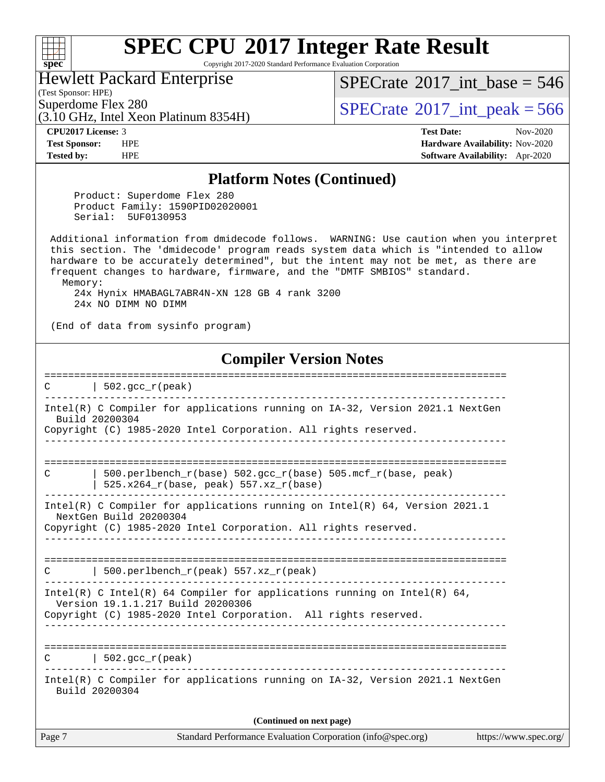#### **[spec](http://www.spec.org/)**

# **[SPEC CPU](http://www.spec.org/auto/cpu2017/Docs/result-fields.html#SPECCPU2017IntegerRateResult)[2017 Integer Rate Result](http://www.spec.org/auto/cpu2017/Docs/result-fields.html#SPECCPU2017IntegerRateResult)**

Copyright 2017-2020 Standard Performance Evaluation Corporation

#### Hewlett Packard Enterprise

(Test Sponsor: HPE)

 $SPECrate$ <sup>®</sup>[2017\\_int\\_base =](http://www.spec.org/auto/cpu2017/Docs/result-fields.html#SPECrate2017intbase) 546

(3.10 GHz, Intel Xeon Platinum 8354H)

Superdome Flex 280<br>  $\begin{array}{|c|c|c|c|c|}\n\hline\n\text{Superdone} & \text{Hex 280} \\
\hline\n\text{SPECrate} & 2017 \text{ int } peak = 566\n\hline\n\end{array}$  $\begin{array}{|c|c|c|c|c|}\n\hline\n\text{Superdone} & \text{Hex 280} \\
\hline\n\text{SPECrate} & 2017 \text{ int } peak = 566\n\hline\n\end{array}$  $\begin{array}{|c|c|c|c|c|}\n\hline\n\text{Superdone} & \text{Hex 280} \\
\hline\n\text{SPECrate} & 2017 \text{ int } peak = 566\n\hline\n\end{array}$ 

**[CPU2017 License:](http://www.spec.org/auto/cpu2017/Docs/result-fields.html#CPU2017License)** 3 **[Test Date:](http://www.spec.org/auto/cpu2017/Docs/result-fields.html#TestDate)** Nov-2020 **[Test Sponsor:](http://www.spec.org/auto/cpu2017/Docs/result-fields.html#TestSponsor)** HPE **[Hardware Availability:](http://www.spec.org/auto/cpu2017/Docs/result-fields.html#HardwareAvailability)** Nov-2020 **[Tested by:](http://www.spec.org/auto/cpu2017/Docs/result-fields.html#Testedby)** HPE **[Software Availability:](http://www.spec.org/auto/cpu2017/Docs/result-fields.html#SoftwareAvailability)** Apr-2020

#### **[Platform Notes \(Continued\)](http://www.spec.org/auto/cpu2017/Docs/result-fields.html#PlatformNotes)**

 Product: Superdome Flex 280 Product Family: 1590PID02020001 Serial: 5UF0130953

 Additional information from dmidecode follows. WARNING: Use caution when you interpret this section. The 'dmidecode' program reads system data which is "intended to allow hardware to be accurately determined", but the intent may not be met, as there are frequent changes to hardware, firmware, and the "DMTF SMBIOS" standard. Memory:

 24x Hynix HMABAGL7ABR4N-XN 128 GB 4 rank 3200 24x NO DIMM NO DIMM

(End of data from sysinfo program)

#### **[Compiler Version Notes](http://www.spec.org/auto/cpu2017/Docs/result-fields.html#CompilerVersionNotes)**

Page 7 Standard Performance Evaluation Corporation [\(info@spec.org\)](mailto:info@spec.org) <https://www.spec.org/> ==============================================================================  $C \qquad \qquad \vert \quad 502.\text{gcc\_r}(\text{peak})$ ------------------------------------------------------------------------------ Intel(R) C Compiler for applications running on IA-32, Version 2021.1 NextGen Build 20200304 Copyright (C) 1985-2020 Intel Corporation. All rights reserved. ------------------------------------------------------------------------------ ============================================================================== C  $\vert$  500.perlbench\_r(base) 502.gcc\_r(base) 505.mcf\_r(base, peak)  $\frac{1}{1}$  525.x264\_r(base, peak) 557.xz\_r(base) ------------------------------------------------------------------------------ Intel(R) C Compiler for applications running on Intel(R) 64, Version 2021.1 NextGen Build 20200304 Copyright (C) 1985-2020 Intel Corporation. All rights reserved. ------------------------------------------------------------------------------ ==============================================================================  $C$  | 500.perlbench\_r(peak) 557.xz\_r(peak) ------------------------------------------------------------------------------ Intel(R) C Intel(R) 64 Compiler for applications running on Intel(R) 64, Version 19.1.1.217 Build 20200306 Copyright (C) 1985-2020 Intel Corporation. All rights reserved. ------------------------------------------------------------------------------ ==============================================================================  $C \qquad \qquad$  | 502.gcc  $r(\text{peak})$ ------------------------------------------------------------------------------ Intel(R) C Compiler for applications running on IA-32, Version 2021.1 NextGen Build 20200304 **(Continued on next page)**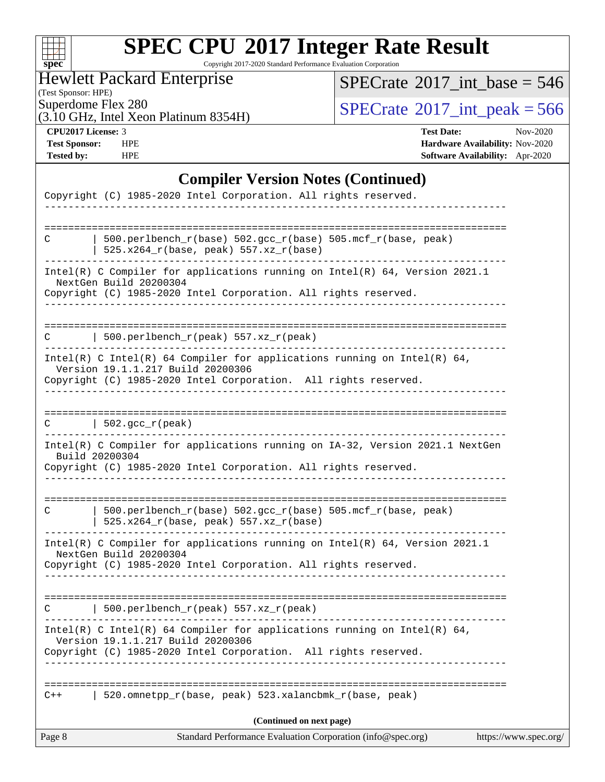| C. | Ù | e |  |
|----|---|---|--|

Copyright 2017-2020 Standard Performance Evaluation Corporation

Hewlett Packard Enterprise

(Test Sponsor: HPE)

 $SPECrate$ <sup>®</sup>[2017\\_int\\_base =](http://www.spec.org/auto/cpu2017/Docs/result-fields.html#SPECrate2017intbase) 546

Superdome Flex 280<br>(3.10 GHz, Intel Xeon Platinum 8354H)  $\begin{array}{|l|l|}\n\hline\n\text{SPECrate} @ 2017\_int\_peak = 566\n\end{array}$  $\begin{array}{|l|l|}\n\hline\n\text{SPECrate} @ 2017\_int\_peak = 566\n\end{array}$  $\begin{array}{|l|l|}\n\hline\n\text{SPECrate} @ 2017\_int\_peak = 566\n\end{array}$ 

**[CPU2017 License:](http://www.spec.org/auto/cpu2017/Docs/result-fields.html#CPU2017License)** 3 **[Test Date:](http://www.spec.org/auto/cpu2017/Docs/result-fields.html#TestDate)** Nov-2020 **[Test Sponsor:](http://www.spec.org/auto/cpu2017/Docs/result-fields.html#TestSponsor)** HPE **[Hardware Availability:](http://www.spec.org/auto/cpu2017/Docs/result-fields.html#HardwareAvailability)** Nov-2020 **[Tested by:](http://www.spec.org/auto/cpu2017/Docs/result-fields.html#Testedby)** HPE **[Software Availability:](http://www.spec.org/auto/cpu2017/Docs/result-fields.html#SoftwareAvailability)** Apr-2020

#### **[Compiler Version Notes \(Continued\)](http://www.spec.org/auto/cpu2017/Docs/result-fields.html#CompilerVersionNotes)**

| Page 8 | Standard Performance Evaluation Corporation (info@spec.org)                                                                                                                      | https://www.spec.org/ |
|--------|----------------------------------------------------------------------------------------------------------------------------------------------------------------------------------|-----------------------|
|        | (Continued on next page)                                                                                                                                                         |                       |
| $C++$  | 520.omnetpp_r(base, peak) 523.xalancbmk_r(base, peak)                                                                                                                            |                       |
|        |                                                                                                                                                                                  |                       |
|        | Intel(R) C Intel(R) 64 Compiler for applications running on Intel(R) 64,<br>Version 19.1.1.217 Build 20200306<br>Copyright (C) 1985-2020 Intel Corporation. All rights reserved. |                       |
|        | 500.perlbench_r(peak) $557. xz_r$ (peak)                                                                                                                                         |                       |
|        | Copyright (C) 1985-2020 Intel Corporation. All rights reserved.                                                                                                                  |                       |
|        | Intel(R) C Compiler for applications running on $Intel(R) 64$ , Version 2021.1<br>NextGen Build 20200304                                                                         |                       |
| C      | 500.perlbench_r(base) 502.gcc_r(base) 505.mcf_r(base, peak)<br>525.x264_r(base, peak) 557.xz_r(base)                                                                             |                       |
|        | Intel(R) C Compiler for applications running on IA-32, Version 2021.1 NextGen<br>Build 20200304<br>Copyright (C) 1985-2020 Intel Corporation. All rights reserved.               |                       |
| C      | $\vert$ 502.gcc_r(peak)                                                                                                                                                          |                       |
|        | Copyright (C) 1985-2020 Intel Corporation. All rights reserved.                                                                                                                  |                       |
|        | Intel(R) C Intel(R) 64 Compiler for applications running on Intel(R) 64,<br>Version 19.1.1.217 Build 20200306                                                                    |                       |
|        | 500.perlbench_r(peak) $557. xz_r$ (peak)                                                                                                                                         |                       |
|        | Intel(R) C Compiler for applications running on Intel(R) 64, Version 2021.1<br>NextGen Build 20200304<br>Copyright (C) 1985-2020 Intel Corporation. All rights reserved.         |                       |
| C      | 500.perlbench_r(base) 502.gcc_r(base) 505.mcf_r(base, peak)<br>525.x264_r(base, peak) 557.xz_r(base)                                                                             |                       |
|        | Copyright (C) 1985-2020 Intel Corporation. All rights reserved.                                                                                                                  |                       |
|        |                                                                                                                                                                                  |                       |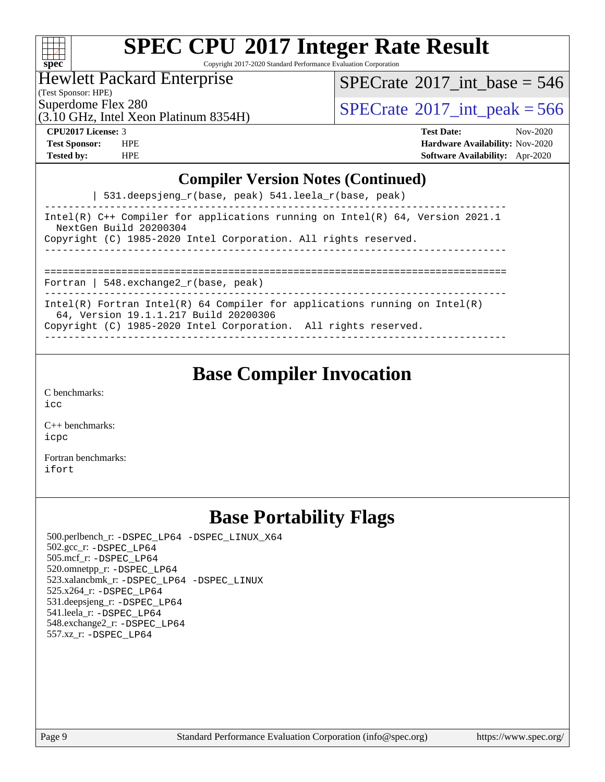| ÷ | S.<br>оe |  |  |  |  |  |  |
|---|----------|--|--|--|--|--|--|

Copyright 2017-2020 Standard Performance Evaluation Corporation

### Hewlett Packard Enterprise

(Test Sponsor: HPE)

 $SPECrate$ <sup>®</sup>[2017\\_int\\_base =](http://www.spec.org/auto/cpu2017/Docs/result-fields.html#SPECrate2017intbase) 546

(3.10 GHz, Intel Xeon Platinum 8354H)

Superdome Flex 280<br>  $\begin{array}{c}\n\text{SPECTate} \textcirc 2017\_int\_peak = 566 \\
\text{SPECTate} \textcirc 2017\_int\_peak = 566\n\end{array}$ 

**[CPU2017 License:](http://www.spec.org/auto/cpu2017/Docs/result-fields.html#CPU2017License)** 3 **[Test Date:](http://www.spec.org/auto/cpu2017/Docs/result-fields.html#TestDate)** Nov-2020 **[Test Sponsor:](http://www.spec.org/auto/cpu2017/Docs/result-fields.html#TestSponsor)** HPE **[Hardware Availability:](http://www.spec.org/auto/cpu2017/Docs/result-fields.html#HardwareAvailability)** Nov-2020 **[Tested by:](http://www.spec.org/auto/cpu2017/Docs/result-fields.html#Testedby)** HPE **[Software Availability:](http://www.spec.org/auto/cpu2017/Docs/result-fields.html#SoftwareAvailability)** Apr-2020

#### **[Compiler Version Notes \(Continued\)](http://www.spec.org/auto/cpu2017/Docs/result-fields.html#CompilerVersionNotes)**

| 531.deepsjeng\_r(base, peak) 541.leela\_r(base, peak)

------------------------------------------------------------------------------ Intel(R) C++ Compiler for applications running on Intel(R) 64, Version 2021.1 NextGen Build 20200304 Copyright (C) 1985-2020 Intel Corporation. All rights reserved. ------------------------------------------------------------------------------ ==============================================================================

Fortran | 548.exchange2\_r(base, peak)

------------------------------------------------------------------------------ Intel(R) Fortran Intel(R) 64 Compiler for applications running on Intel(R)

64, Version 19.1.1.217 Build 20200306

Copyright (C) 1985-2020 Intel Corporation. All rights reserved. ------------------------------------------------------------------------------

### **[Base Compiler Invocation](http://www.spec.org/auto/cpu2017/Docs/result-fields.html#BaseCompilerInvocation)**

[C benchmarks](http://www.spec.org/auto/cpu2017/Docs/result-fields.html#Cbenchmarks): [icc](http://www.spec.org/cpu2017/results/res2020q4/cpu2017-20201207-24504.flags.html#user_CCbase_intel_icc_66fc1ee009f7361af1fbd72ca7dcefbb700085f36577c54f309893dd4ec40d12360134090235512931783d35fd58c0460139e722d5067c5574d8eaf2b3e37e92)

[C++ benchmarks:](http://www.spec.org/auto/cpu2017/Docs/result-fields.html#CXXbenchmarks) [icpc](http://www.spec.org/cpu2017/results/res2020q4/cpu2017-20201207-24504.flags.html#user_CXXbase_intel_icpc_c510b6838c7f56d33e37e94d029a35b4a7bccf4766a728ee175e80a419847e808290a9b78be685c44ab727ea267ec2f070ec5dc83b407c0218cded6866a35d07)

[Fortran benchmarks](http://www.spec.org/auto/cpu2017/Docs/result-fields.html#Fortranbenchmarks): [ifort](http://www.spec.org/cpu2017/results/res2020q4/cpu2017-20201207-24504.flags.html#user_FCbase_intel_ifort_8111460550e3ca792625aed983ce982f94888b8b503583aa7ba2b8303487b4d8a21a13e7191a45c5fd58ff318f48f9492884d4413fa793fd88dd292cad7027ca)

### **[Base Portability Flags](http://www.spec.org/auto/cpu2017/Docs/result-fields.html#BasePortabilityFlags)**

 500.perlbench\_r: [-DSPEC\\_LP64](http://www.spec.org/cpu2017/results/res2020q4/cpu2017-20201207-24504.flags.html#b500.perlbench_r_basePORTABILITY_DSPEC_LP64) [-DSPEC\\_LINUX\\_X64](http://www.spec.org/cpu2017/results/res2020q4/cpu2017-20201207-24504.flags.html#b500.perlbench_r_baseCPORTABILITY_DSPEC_LINUX_X64) 502.gcc\_r: [-DSPEC\\_LP64](http://www.spec.org/cpu2017/results/res2020q4/cpu2017-20201207-24504.flags.html#suite_basePORTABILITY502_gcc_r_DSPEC_LP64) 505.mcf\_r: [-DSPEC\\_LP64](http://www.spec.org/cpu2017/results/res2020q4/cpu2017-20201207-24504.flags.html#suite_basePORTABILITY505_mcf_r_DSPEC_LP64) 520.omnetpp\_r: [-DSPEC\\_LP64](http://www.spec.org/cpu2017/results/res2020q4/cpu2017-20201207-24504.flags.html#suite_basePORTABILITY520_omnetpp_r_DSPEC_LP64) 523.xalancbmk\_r: [-DSPEC\\_LP64](http://www.spec.org/cpu2017/results/res2020q4/cpu2017-20201207-24504.flags.html#suite_basePORTABILITY523_xalancbmk_r_DSPEC_LP64) [-DSPEC\\_LINUX](http://www.spec.org/cpu2017/results/res2020q4/cpu2017-20201207-24504.flags.html#b523.xalancbmk_r_baseCXXPORTABILITY_DSPEC_LINUX) 525.x264\_r: [-DSPEC\\_LP64](http://www.spec.org/cpu2017/results/res2020q4/cpu2017-20201207-24504.flags.html#suite_basePORTABILITY525_x264_r_DSPEC_LP64) 531.deepsjeng\_r: [-DSPEC\\_LP64](http://www.spec.org/cpu2017/results/res2020q4/cpu2017-20201207-24504.flags.html#suite_basePORTABILITY531_deepsjeng_r_DSPEC_LP64) 541.leela\_r: [-DSPEC\\_LP64](http://www.spec.org/cpu2017/results/res2020q4/cpu2017-20201207-24504.flags.html#suite_basePORTABILITY541_leela_r_DSPEC_LP64) 548.exchange2\_r: [-DSPEC\\_LP64](http://www.spec.org/cpu2017/results/res2020q4/cpu2017-20201207-24504.flags.html#suite_basePORTABILITY548_exchange2_r_DSPEC_LP64) 557.xz\_r: [-DSPEC\\_LP64](http://www.spec.org/cpu2017/results/res2020q4/cpu2017-20201207-24504.flags.html#suite_basePORTABILITY557_xz_r_DSPEC_LP64)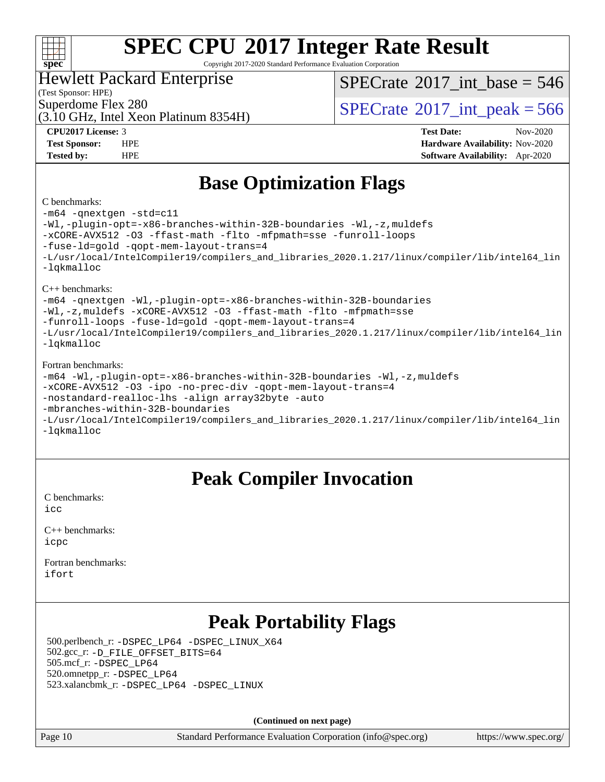#### $+\ +$ **[spec](http://www.spec.org/)**

# **[SPEC CPU](http://www.spec.org/auto/cpu2017/Docs/result-fields.html#SPECCPU2017IntegerRateResult)[2017 Integer Rate Result](http://www.spec.org/auto/cpu2017/Docs/result-fields.html#SPECCPU2017IntegerRateResult)**

Copyright 2017-2020 Standard Performance Evaluation Corporation

#### Hewlett Packard Enterprise

(Test Sponsor: HPE)

 $SPECTate$ <sup>®</sup>[2017\\_int\\_base =](http://www.spec.org/auto/cpu2017/Docs/result-fields.html#SPECrate2017intbase) 546

(3.10 GHz, Intel Xeon Platinum 8354H)

Superdome Flex 280<br>  $\begin{array}{c}\n\text{SPECTate} \textcirc 2017\_int\_peak = 566 \\
\text{SPECTate} \textcirc 2017\_int\_peak = 566\n\end{array}$ 

**[CPU2017 License:](http://www.spec.org/auto/cpu2017/Docs/result-fields.html#CPU2017License)** 3 **[Test Date:](http://www.spec.org/auto/cpu2017/Docs/result-fields.html#TestDate)** Nov-2020 **[Test Sponsor:](http://www.spec.org/auto/cpu2017/Docs/result-fields.html#TestSponsor)** HPE **[Hardware Availability:](http://www.spec.org/auto/cpu2017/Docs/result-fields.html#HardwareAvailability)** Nov-2020 **[Tested by:](http://www.spec.org/auto/cpu2017/Docs/result-fields.html#Testedby)** HPE **[Software Availability:](http://www.spec.org/auto/cpu2017/Docs/result-fields.html#SoftwareAvailability)** Apr-2020

### **[Base Optimization Flags](http://www.spec.org/auto/cpu2017/Docs/result-fields.html#BaseOptimizationFlags)**

#### [C benchmarks](http://www.spec.org/auto/cpu2017/Docs/result-fields.html#Cbenchmarks):

[-m64](http://www.spec.org/cpu2017/results/res2020q4/cpu2017-20201207-24504.flags.html#user_CCbase_m64-icc) [-qnextgen](http://www.spec.org/cpu2017/results/res2020q4/cpu2017-20201207-24504.flags.html#user_CCbase_f-qnextgen) [-std=c11](http://www.spec.org/cpu2017/results/res2020q4/cpu2017-20201207-24504.flags.html#user_CCbase_std-icc-std_0e1c27790398a4642dfca32ffe6c27b5796f9c2d2676156f2e42c9c44eaad0c049b1cdb667a270c34d979996257aeb8fc440bfb01818dbc9357bd9d174cb8524) [-Wl,-plugin-opt=-x86-branches-within-32B-boundaries](http://www.spec.org/cpu2017/results/res2020q4/cpu2017-20201207-24504.flags.html#user_CCbase_f-x86-branches-within-32B-boundaries_0098b4e4317ae60947b7b728078a624952a08ac37a3c797dfb4ffeb399e0c61a9dd0f2f44ce917e9361fb9076ccb15e7824594512dd315205382d84209e912f3) [-Wl,-z,muldefs](http://www.spec.org/cpu2017/results/res2020q4/cpu2017-20201207-24504.flags.html#user_CCbase_link_force_multiple1_b4cbdb97b34bdee9ceefcfe54f4c8ea74255f0b02a4b23e853cdb0e18eb4525ac79b5a88067c842dd0ee6996c24547a27a4b99331201badda8798ef8a743f577) [-xCORE-AVX512](http://www.spec.org/cpu2017/results/res2020q4/cpu2017-20201207-24504.flags.html#user_CCbase_f-xCORE-AVX512) [-O3](http://www.spec.org/cpu2017/results/res2020q4/cpu2017-20201207-24504.flags.html#user_CCbase_f-O3) [-ffast-math](http://www.spec.org/cpu2017/results/res2020q4/cpu2017-20201207-24504.flags.html#user_CCbase_f-ffast-math) [-flto](http://www.spec.org/cpu2017/results/res2020q4/cpu2017-20201207-24504.flags.html#user_CCbase_f-flto) [-mfpmath=sse](http://www.spec.org/cpu2017/results/res2020q4/cpu2017-20201207-24504.flags.html#user_CCbase_f-mfpmath_70eb8fac26bde974f8ab713bc9086c5621c0b8d2f6c86f38af0bd7062540daf19db5f3a066d8c6684be05d84c9b6322eb3b5be6619d967835195b93d6c02afa1) [-funroll-loops](http://www.spec.org/cpu2017/results/res2020q4/cpu2017-20201207-24504.flags.html#user_CCbase_f-funroll-loops) [-fuse-ld=gold](http://www.spec.org/cpu2017/results/res2020q4/cpu2017-20201207-24504.flags.html#user_CCbase_f-fuse-ld_920b3586e2b8c6e0748b9c84fa9b744736ba725a32cab14ad8f3d4ad28eecb2f59d1144823d2e17006539a88734fe1fc08fc3035f7676166309105a78aaabc32) [-qopt-mem-layout-trans=4](http://www.spec.org/cpu2017/results/res2020q4/cpu2017-20201207-24504.flags.html#user_CCbase_f-qopt-mem-layout-trans_fa39e755916c150a61361b7846f310bcdf6f04e385ef281cadf3647acec3f0ae266d1a1d22d972a7087a248fd4e6ca390a3634700869573d231a252c784941a8) [-L/usr/local/IntelCompiler19/compilers\\_and\\_libraries\\_2020.1.217/linux/compiler/lib/intel64\\_lin](http://www.spec.org/cpu2017/results/res2020q4/cpu2017-20201207-24504.flags.html#user_CCbase_linkpath_2cb6f503891ebf8baee7515f4e7d4ec1217444d1d05903cc0091ac4158de400651d2b2313a9fa414cb8a8f0e16ab029634f5c6db340f400369c190d4db8a54a0) [-lqkmalloc](http://www.spec.org/cpu2017/results/res2020q4/cpu2017-20201207-24504.flags.html#user_CCbase_qkmalloc_link_lib_79a818439969f771c6bc311cfd333c00fc099dad35c030f5aab9dda831713d2015205805422f83de8875488a2991c0a156aaa600e1f9138f8fc37004abc96dc5) [C++ benchmarks](http://www.spec.org/auto/cpu2017/Docs/result-fields.html#CXXbenchmarks): [-m64](http://www.spec.org/cpu2017/results/res2020q4/cpu2017-20201207-24504.flags.html#user_CXXbase_m64-icc) [-qnextgen](http://www.spec.org/cpu2017/results/res2020q4/cpu2017-20201207-24504.flags.html#user_CXXbase_f-qnextgen) [-Wl,-plugin-opt=-x86-branches-within-32B-boundaries](http://www.spec.org/cpu2017/results/res2020q4/cpu2017-20201207-24504.flags.html#user_CXXbase_f-x86-branches-within-32B-boundaries_0098b4e4317ae60947b7b728078a624952a08ac37a3c797dfb4ffeb399e0c61a9dd0f2f44ce917e9361fb9076ccb15e7824594512dd315205382d84209e912f3) [-Wl,-z,muldefs](http://www.spec.org/cpu2017/results/res2020q4/cpu2017-20201207-24504.flags.html#user_CXXbase_link_force_multiple1_b4cbdb97b34bdee9ceefcfe54f4c8ea74255f0b02a4b23e853cdb0e18eb4525ac79b5a88067c842dd0ee6996c24547a27a4b99331201badda8798ef8a743f577) [-xCORE-AVX512](http://www.spec.org/cpu2017/results/res2020q4/cpu2017-20201207-24504.flags.html#user_CXXbase_f-xCORE-AVX512) [-O3](http://www.spec.org/cpu2017/results/res2020q4/cpu2017-20201207-24504.flags.html#user_CXXbase_f-O3) [-ffast-math](http://www.spec.org/cpu2017/results/res2020q4/cpu2017-20201207-24504.flags.html#user_CXXbase_f-ffast-math) [-flto](http://www.spec.org/cpu2017/results/res2020q4/cpu2017-20201207-24504.flags.html#user_CXXbase_f-flto) [-mfpmath=sse](http://www.spec.org/cpu2017/results/res2020q4/cpu2017-20201207-24504.flags.html#user_CXXbase_f-mfpmath_70eb8fac26bde974f8ab713bc9086c5621c0b8d2f6c86f38af0bd7062540daf19db5f3a066d8c6684be05d84c9b6322eb3b5be6619d967835195b93d6c02afa1) [-funroll-loops](http://www.spec.org/cpu2017/results/res2020q4/cpu2017-20201207-24504.flags.html#user_CXXbase_f-funroll-loops) [-fuse-ld=gold](http://www.spec.org/cpu2017/results/res2020q4/cpu2017-20201207-24504.flags.html#user_CXXbase_f-fuse-ld_920b3586e2b8c6e0748b9c84fa9b744736ba725a32cab14ad8f3d4ad28eecb2f59d1144823d2e17006539a88734fe1fc08fc3035f7676166309105a78aaabc32) [-qopt-mem-layout-trans=4](http://www.spec.org/cpu2017/results/res2020q4/cpu2017-20201207-24504.flags.html#user_CXXbase_f-qopt-mem-layout-trans_fa39e755916c150a61361b7846f310bcdf6f04e385ef281cadf3647acec3f0ae266d1a1d22d972a7087a248fd4e6ca390a3634700869573d231a252c784941a8) [-L/usr/local/IntelCompiler19/compilers\\_and\\_libraries\\_2020.1.217/linux/compiler/lib/intel64\\_lin](http://www.spec.org/cpu2017/results/res2020q4/cpu2017-20201207-24504.flags.html#user_CXXbase_linkpath_2cb6f503891ebf8baee7515f4e7d4ec1217444d1d05903cc0091ac4158de400651d2b2313a9fa414cb8a8f0e16ab029634f5c6db340f400369c190d4db8a54a0) [-lqkmalloc](http://www.spec.org/cpu2017/results/res2020q4/cpu2017-20201207-24504.flags.html#user_CXXbase_qkmalloc_link_lib_79a818439969f771c6bc311cfd333c00fc099dad35c030f5aab9dda831713d2015205805422f83de8875488a2991c0a156aaa600e1f9138f8fc37004abc96dc5) [Fortran benchmarks](http://www.spec.org/auto/cpu2017/Docs/result-fields.html#Fortranbenchmarks): [-m64](http://www.spec.org/cpu2017/results/res2020q4/cpu2017-20201207-24504.flags.html#user_FCbase_m64-icc) [-Wl,-plugin-opt=-x86-branches-within-32B-boundaries](http://www.spec.org/cpu2017/results/res2020q4/cpu2017-20201207-24504.flags.html#user_FCbase_f-x86-branches-within-32B-boundaries_0098b4e4317ae60947b7b728078a624952a08ac37a3c797dfb4ffeb399e0c61a9dd0f2f44ce917e9361fb9076ccb15e7824594512dd315205382d84209e912f3) [-Wl,-z,muldefs](http://www.spec.org/cpu2017/results/res2020q4/cpu2017-20201207-24504.flags.html#user_FCbase_link_force_multiple1_b4cbdb97b34bdee9ceefcfe54f4c8ea74255f0b02a4b23e853cdb0e18eb4525ac79b5a88067c842dd0ee6996c24547a27a4b99331201badda8798ef8a743f577) [-xCORE-AVX512](http://www.spec.org/cpu2017/results/res2020q4/cpu2017-20201207-24504.flags.html#user_FCbase_f-xCORE-AVX512) [-O3](http://www.spec.org/cpu2017/results/res2020q4/cpu2017-20201207-24504.flags.html#user_FCbase_f-O3) [-ipo](http://www.spec.org/cpu2017/results/res2020q4/cpu2017-20201207-24504.flags.html#user_FCbase_f-ipo) [-no-prec-div](http://www.spec.org/cpu2017/results/res2020q4/cpu2017-20201207-24504.flags.html#user_FCbase_f-no-prec-div) [-qopt-mem-layout-trans=4](http://www.spec.org/cpu2017/results/res2020q4/cpu2017-20201207-24504.flags.html#user_FCbase_f-qopt-mem-layout-trans_fa39e755916c150a61361b7846f310bcdf6f04e385ef281cadf3647acec3f0ae266d1a1d22d972a7087a248fd4e6ca390a3634700869573d231a252c784941a8) [-nostandard-realloc-lhs](http://www.spec.org/cpu2017/results/res2020q4/cpu2017-20201207-24504.flags.html#user_FCbase_f_2003_std_realloc_82b4557e90729c0f113870c07e44d33d6f5a304b4f63d4c15d2d0f1fab99f5daaed73bdb9275d9ae411527f28b936061aa8b9c8f2d63842963b95c9dd6426b8a) [-align array32byte](http://www.spec.org/cpu2017/results/res2020q4/cpu2017-20201207-24504.flags.html#user_FCbase_align_array32byte_b982fe038af199962ba9a80c053b8342c548c85b40b8e86eb3cc33dee0d7986a4af373ac2d51c3f7cf710a18d62fdce2948f201cd044323541f22fc0fffc51b6) [-auto](http://www.spec.org/cpu2017/results/res2020q4/cpu2017-20201207-24504.flags.html#user_FCbase_f-auto) [-mbranches-within-32B-boundaries](http://www.spec.org/cpu2017/results/res2020q4/cpu2017-20201207-24504.flags.html#user_FCbase_f-mbranches-within-32B-boundaries)

[-L/usr/local/IntelCompiler19/compilers\\_and\\_libraries\\_2020.1.217/linux/compiler/lib/intel64\\_lin](http://www.spec.org/cpu2017/results/res2020q4/cpu2017-20201207-24504.flags.html#user_FCbase_linkpath_2cb6f503891ebf8baee7515f4e7d4ec1217444d1d05903cc0091ac4158de400651d2b2313a9fa414cb8a8f0e16ab029634f5c6db340f400369c190d4db8a54a0) [-lqkmalloc](http://www.spec.org/cpu2017/results/res2020q4/cpu2017-20201207-24504.flags.html#user_FCbase_qkmalloc_link_lib_79a818439969f771c6bc311cfd333c00fc099dad35c030f5aab9dda831713d2015205805422f83de8875488a2991c0a156aaa600e1f9138f8fc37004abc96dc5)

### **[Peak Compiler Invocation](http://www.spec.org/auto/cpu2017/Docs/result-fields.html#PeakCompilerInvocation)**

[C benchmarks](http://www.spec.org/auto/cpu2017/Docs/result-fields.html#Cbenchmarks):  $i$ cc

[C++ benchmarks:](http://www.spec.org/auto/cpu2017/Docs/result-fields.html#CXXbenchmarks) [icpc](http://www.spec.org/cpu2017/results/res2020q4/cpu2017-20201207-24504.flags.html#user_CXXpeak_intel_icpc_c510b6838c7f56d33e37e94d029a35b4a7bccf4766a728ee175e80a419847e808290a9b78be685c44ab727ea267ec2f070ec5dc83b407c0218cded6866a35d07)

[Fortran benchmarks](http://www.spec.org/auto/cpu2017/Docs/result-fields.html#Fortranbenchmarks): [ifort](http://www.spec.org/cpu2017/results/res2020q4/cpu2017-20201207-24504.flags.html#user_FCpeak_intel_ifort_8111460550e3ca792625aed983ce982f94888b8b503583aa7ba2b8303487b4d8a21a13e7191a45c5fd58ff318f48f9492884d4413fa793fd88dd292cad7027ca)

### **[Peak Portability Flags](http://www.spec.org/auto/cpu2017/Docs/result-fields.html#PeakPortabilityFlags)**

 500.perlbench\_r: [-DSPEC\\_LP64](http://www.spec.org/cpu2017/results/res2020q4/cpu2017-20201207-24504.flags.html#b500.perlbench_r_peakPORTABILITY_DSPEC_LP64) [-DSPEC\\_LINUX\\_X64](http://www.spec.org/cpu2017/results/res2020q4/cpu2017-20201207-24504.flags.html#b500.perlbench_r_peakCPORTABILITY_DSPEC_LINUX_X64) 502.gcc\_r: [-D\\_FILE\\_OFFSET\\_BITS=64](http://www.spec.org/cpu2017/results/res2020q4/cpu2017-20201207-24504.flags.html#user_peakPORTABILITY502_gcc_r_file_offset_bits_64_5ae949a99b284ddf4e95728d47cb0843d81b2eb0e18bdfe74bbf0f61d0b064f4bda2f10ea5eb90e1dcab0e84dbc592acfc5018bc955c18609f94ddb8d550002c) 505.mcf\_r: [-DSPEC\\_LP64](http://www.spec.org/cpu2017/results/res2020q4/cpu2017-20201207-24504.flags.html#suite_peakPORTABILITY505_mcf_r_DSPEC_LP64) 520.omnetpp\_r: [-DSPEC\\_LP64](http://www.spec.org/cpu2017/results/res2020q4/cpu2017-20201207-24504.flags.html#suite_peakPORTABILITY520_omnetpp_r_DSPEC_LP64) 523.xalancbmk\_r: [-DSPEC\\_LP64](http://www.spec.org/cpu2017/results/res2020q4/cpu2017-20201207-24504.flags.html#suite_peakPORTABILITY523_xalancbmk_r_DSPEC_LP64) [-DSPEC\\_LINUX](http://www.spec.org/cpu2017/results/res2020q4/cpu2017-20201207-24504.flags.html#b523.xalancbmk_r_peakCXXPORTABILITY_DSPEC_LINUX)

**(Continued on next page)**

Page 10 Standard Performance Evaluation Corporation [\(info@spec.org\)](mailto:info@spec.org) <https://www.spec.org/>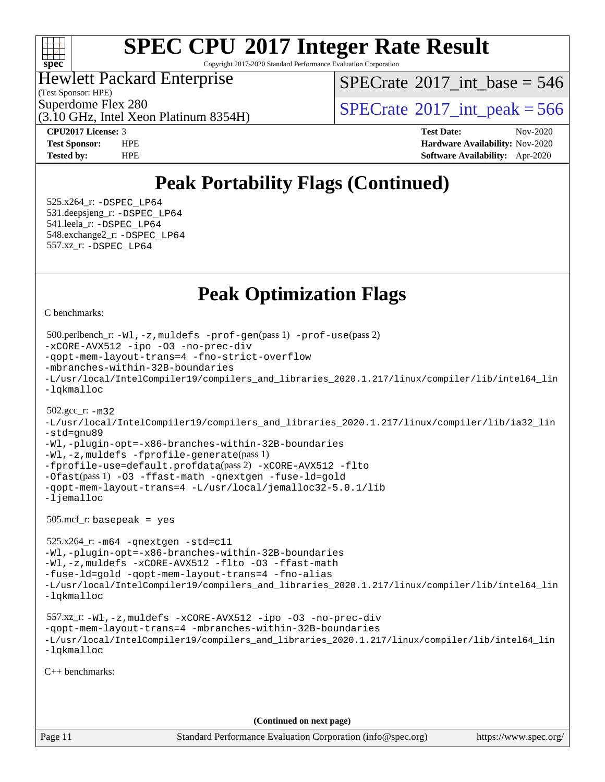

Copyright 2017-2020 Standard Performance Evaluation Corporation

Hewlett Packard Enterprise

(Test Sponsor: HPE)

 $SPECTate$ <sup>®</sup>[2017\\_int\\_base =](http://www.spec.org/auto/cpu2017/Docs/result-fields.html#SPECrate2017intbase) 546

(3.10 GHz, Intel Xeon Platinum 8354H)

Superdome Flex 280<br>  $\begin{array}{c}\n\text{SPECTate} \textcirc 2017\_int\_peak = 566 \\
\text{SPECTate} \textcirc 2017\_int\_peak = 566\n\end{array}$ 

**[CPU2017 License:](http://www.spec.org/auto/cpu2017/Docs/result-fields.html#CPU2017License)** 3 **[Test Date:](http://www.spec.org/auto/cpu2017/Docs/result-fields.html#TestDate)** Nov-2020 **[Test Sponsor:](http://www.spec.org/auto/cpu2017/Docs/result-fields.html#TestSponsor)** HPE **[Hardware Availability:](http://www.spec.org/auto/cpu2017/Docs/result-fields.html#HardwareAvailability)** Nov-2020 **[Tested by:](http://www.spec.org/auto/cpu2017/Docs/result-fields.html#Testedby)** HPE **[Software Availability:](http://www.spec.org/auto/cpu2017/Docs/result-fields.html#SoftwareAvailability)** Apr-2020

### **[Peak Portability Flags \(Continued\)](http://www.spec.org/auto/cpu2017/Docs/result-fields.html#PeakPortabilityFlags)**

 525.x264\_r: [-DSPEC\\_LP64](http://www.spec.org/cpu2017/results/res2020q4/cpu2017-20201207-24504.flags.html#suite_peakPORTABILITY525_x264_r_DSPEC_LP64) 531.deepsjeng\_r: [-DSPEC\\_LP64](http://www.spec.org/cpu2017/results/res2020q4/cpu2017-20201207-24504.flags.html#suite_peakPORTABILITY531_deepsjeng_r_DSPEC_LP64) 541.leela\_r: [-DSPEC\\_LP64](http://www.spec.org/cpu2017/results/res2020q4/cpu2017-20201207-24504.flags.html#suite_peakPORTABILITY541_leela_r_DSPEC_LP64) 548.exchange2\_r: [-DSPEC\\_LP64](http://www.spec.org/cpu2017/results/res2020q4/cpu2017-20201207-24504.flags.html#suite_peakPORTABILITY548_exchange2_r_DSPEC_LP64) 557.xz\_r: [-DSPEC\\_LP64](http://www.spec.org/cpu2017/results/res2020q4/cpu2017-20201207-24504.flags.html#suite_peakPORTABILITY557_xz_r_DSPEC_LP64)

### **[Peak Optimization Flags](http://www.spec.org/auto/cpu2017/Docs/result-fields.html#PeakOptimizationFlags)**

[C benchmarks](http://www.spec.org/auto/cpu2017/Docs/result-fields.html#Cbenchmarks):

```
Page 11 Standard Performance Evaluation Corporation (info@spec.org) https://www.spec.org/
  500.perlbench_r: -Wl,-z,muldefs -prof-gen(pass 1) -prof-use(pass 2)
-xCORE-AVX512 -ipo -O3 -no-prec-div
-qopt-mem-layout-trans=4 -fno-strict-overflow
-mbranches-within-32B-boundaries
-L/usr/local/IntelCompiler19/compilers_and_libraries_2020.1.217/linux/compiler/lib/intel64_lin
-lqkmalloc
  502.gcc_r: -m32
-L/usr/local/IntelCompiler19/compilers_and_libraries_2020.1.217/linux/compiler/lib/ia32_lin
-std=gnu89
-Wl,-plugin-opt=-x86-branches-within-32B-boundaries
-Wl,-z,muldefs -fprofile-generate(pass 1)
-fprofile-use=default.profdata(pass 2) -xCORE-AVX512 -flto
-Ofast(pass 1) -O3 -ffast-math -qnextgen -fuse-ld=gold
-qopt-mem-layout-trans=4 -L/usr/local/jemalloc32-5.0.1/lib
-ljemalloc
  505.mcf_r: basepeak = yes
  525.x264_r: -m64 -qnextgen -std=c11
-Wl,-plugin-opt=-x86-branches-within-32B-boundaries
-Wl,-z,muldefs -xCORE-AVX512 -flto -O3 -ffast-math
-fuse-ld=gold -qopt-mem-layout-trans=4 -fno-alias
-L/usr/local/IntelCompiler19/compilers_and_libraries_2020.1.217/linux/compiler/lib/intel64_lin
-lqkmalloc
  557.xz_r: -Wl,-z,muldefs -xCORE-AVX512 -ipo -O3 -no-prec-div
-qopt-mem-layout-trans=4 -mbranches-within-32B-boundaries
-L/usr/local/IntelCompiler19/compilers_and_libraries_2020.1.217/linux/compiler/lib/intel64_lin
-lqkmalloc
C++ benchmarks: 
                                      (Continued on next page)
```